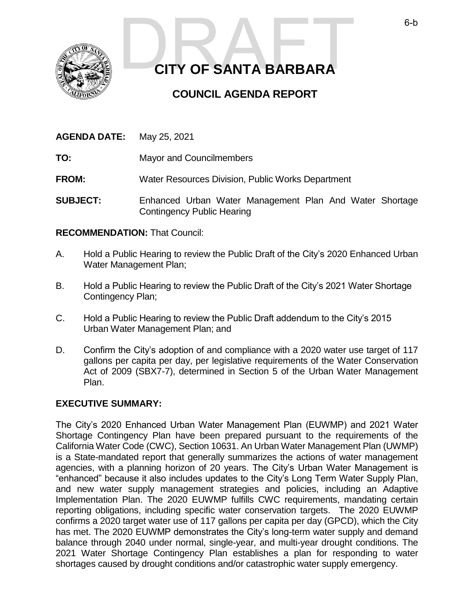

# **CITY OF SANTA BARBARA CITY OF SANTA BARBARA**

## **COUNCIL AGENDA REPORT**

| <b>AGENDA DATE:</b> | May 25, 2021 |
|---------------------|--------------|
|                     |              |

**TO:** Mayor and Councilmembers

**FROM:** Water Resources Division, Public Works Department

**SUBJECT:** Enhanced Urban Water Management Plan And Water Shortage Contingency Public Hearing

#### **RECOMMENDATION:** That Council:

- A. Hold a Public Hearing to review the Public Draft of the City's 2020 Enhanced Urban Water Management Plan;
- B. Hold a Public Hearing to review the Public Draft of the City's 2021 Water Shortage Contingency Plan;
- C. Hold a Public Hearing to review the Public Draft addendum to the City's 2015 Urban Water Management Plan; and
- D. Confirm the City's adoption of and compliance with a 2020 water use target of 117 gallons per capita per day, per legislative requirements of the Water Conservation Act of 2009 (SBX7-7), determined in Section 5 of the Urban Water Management Plan.

#### **EXECUTIVE SUMMARY:**

The City's 2020 Enhanced Urban Water Management Plan (EUWMP) and 2021 Water Shortage Contingency Plan have been prepared pursuant to the requirements of the California Water Code (CWC), Section 10631. An Urban Water Management Plan (UWMP) is a State-mandated report that generally summarizes the actions of water management agencies, with a planning horizon of 20 years. The City's Urban Water Management is "enhanced" because it also includes updates to the City's Long Term Water Supply Plan, and new water supply management strategies and policies, including an Adaptive Implementation Plan. The 2020 EUWMP fulfills CWC requirements, mandating certain reporting obligations, including specific water conservation targets. The 2020 EUWMP confirms a 2020 target water use of 117 gallons per capita per day (GPCD), which the City has met. The 2020 EUWMP demonstrates the City's long-term water supply and demand balance through 2040 under normal, single-year, and multi-year drought conditions. The 2021 Water Shortage Contingency Plan establishes a plan for responding to water shortages caused by drought conditions and/or catastrophic water supply emergency.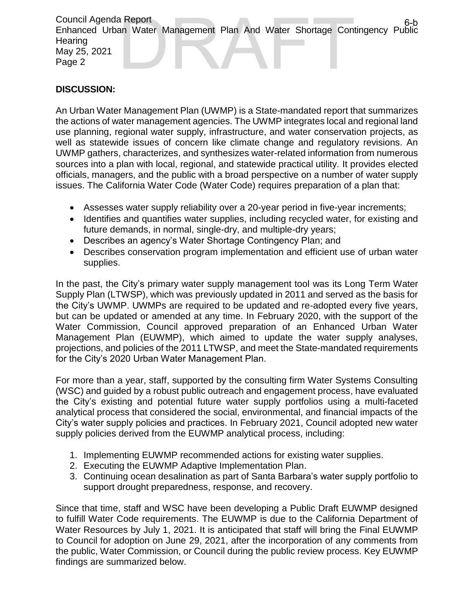Council Agenda Report Enhanced Urban Water Management Plan And Water Shortage Contingency Public **Hearing** May 25, 2021 Page 2 a Report<br>an Water Management Plan And Water Shortage Contingency Public<br>DRAFT 6-b<br>And Water Shortage Contingency Public

#### **DISCUSSION:**

An Urban Water Management Plan (UWMP) is a State-mandated report that summarizes the actions of water management agencies. The UWMP integrates local and regional land use planning, regional water supply, infrastructure, and water conservation projects, as well as statewide issues of concern like climate change and regulatory revisions. An UWMP gathers, characterizes, and synthesizes water-related information from numerous sources into a plan with local, regional, and statewide practical utility. It provides elected officials, managers, and the public with a broad perspective on a number of water supply issues. The California Water Code (Water Code) requires preparation of a plan that:

- Assesses water supply reliability over a 20-year period in five-year increments;
- Identifies and quantifies water supplies, including recycled water, for existing and future demands, in normal, single-dry, and multiple-dry years;
- Describes an agency's Water Shortage Contingency Plan; and
- Describes conservation program implementation and efficient use of urban water supplies.

In the past, the City's primary water supply management tool was its Long Term Water Supply Plan (LTWSP), which was previously updated in 2011 and served as the basis for the City's UWMP. UWMPs are required to be updated and re-adopted every five years, but can be updated or amended at any time. In February 2020, with the support of the Water Commission, Council approved preparation of an Enhanced Urban Water Management Plan (EUWMP), which aimed to update the water supply analyses, projections, and policies of the 2011 LTWSP, and meet the State-mandated requirements for the City's 2020 Urban Water Management Plan.

For more than a year, staff, supported by the consulting firm Water Systems Consulting (WSC) and guided by a robust public outreach and engagement process, have evaluated the City's existing and potential future water supply portfolios using a multi-faceted analytical process that considered the social, environmental, and financial impacts of the City's water supply policies and practices. In February 2021, Council adopted new water supply policies derived from the EUWMP analytical process, including:

- 1. Implementing EUWMP recommended actions for existing water supplies.
- 2. Executing the EUWMP Adaptive Implementation Plan.
- 3. Continuing ocean desalination as part of Santa Barbara's water supply portfolio to support drought preparedness, response, and recovery.

Since that time, staff and WSC have been developing a Public Draft EUWMP designed to fulfill Water Code requirements. The EUWMP is due to the California Department of Water Resources by July 1, 2021. It is anticipated that staff will bring the Final EUWMP to Council for adoption on June 29, 2021, after the incorporation of any comments from the public, Water Commission, or Council during the public review process. Key EUWMP findings are summarized below.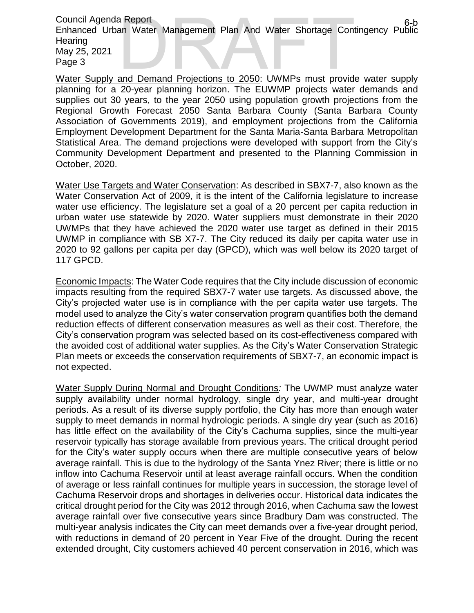Council Agenda Report Enhanced Urban Water Management Plan And Water Shortage Contingency Public **Hearing** May 25, 2021 Page 3 an Water Management Plan And Water Shortage Contingency Public<br>an Water Management Plan And Water Shortage Contingency Public<br>and Demand Projections to 2050: UWMPs must provide water supply

Water Supply and Demand Projections to 2050: UWMPs must provide water supply planning for a 20-year planning horizon. The EUWMP projects water demands and supplies out 30 years, to the year 2050 using population growth projections from the Regional Growth Forecast 2050 Santa Barbara County (Santa Barbara County Association of Governments 2019), and employment projections from the California Employment Development Department for the Santa Maria-Santa Barbara Metropolitan Statistical Area. The demand projections were developed with support from the City's Community Development Department and presented to the Planning Commission in October, 2020.

Water Use Targets and Water Conservation: As described in SBX7-7, also known as the Water Conservation Act of 2009, it is the intent of the California legislature to increase water use efficiency. The legislature set a goal of a 20 percent per capita reduction in urban water use statewide by 2020. Water suppliers must demonstrate in their 2020 UWMPs that they have achieved the 2020 water use target as defined in their 2015 UWMP in compliance with SB X7-7. The City reduced its daily per capita water use in 2020 to 92 gallons per capita per day (GPCD), which was well below its 2020 target of 117 GPCD.

Economic Impacts: The Water Code requires that the City include discussion of economic impacts resulting from the required SBX7-7 water use targets. As discussed above, the City's projected water use is in compliance with the per capita water use targets. The model used to analyze the City's water conservation program quantifies both the demand reduction effects of different conservation measures as well as their cost. Therefore, the City's conservation program was selected based on its cost-effectiveness compared with the avoided cost of additional water supplies. As the City's Water Conservation Strategic Plan meets or exceeds the conservation requirements of SBX7-7, an economic impact is not expected.

Water Supply During Normal and Drought Conditions*:* The UWMP must analyze water supply availability under normal hydrology, single dry year, and multi-year drought periods. As a result of its diverse supply portfolio, the City has more than enough water supply to meet demands in normal hydrologic periods. A single dry year (such as 2016) has little effect on the availability of the City's Cachuma supplies, since the multi-year reservoir typically has storage available from previous years. The critical drought period for the City's water supply occurs when there are multiple consecutive years of below average rainfall. This is due to the hydrology of the Santa Ynez River; there is little or no inflow into Cachuma Reservoir until at least average rainfall occurs. When the condition of average or less rainfall continues for multiple years in succession, the storage level of Cachuma Reservoir drops and shortages in deliveries occur. Historical data indicates the critical drought period for the City was 2012 through 2016, when Cachuma saw the lowest average rainfall over five consecutive years since Bradbury Dam was constructed. The multi-year analysis indicates the City can meet demands over a five-year drought period, with reductions in demand of 20 percent in Year Five of the drought. During the recent extended drought, City customers achieved 40 percent conservation in 2016, which was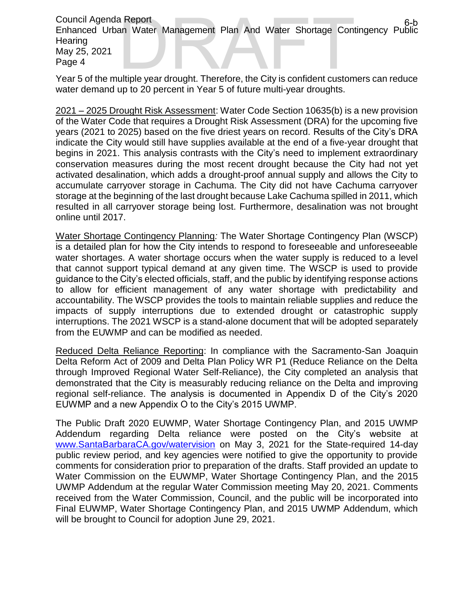Council Agenda Report Enhanced Urban Water Management Plan And Water Shortage Contingency Public **Hearing** May 25, 2021 Page 4 an Water Management Plan And Water Shortage Contingency Public<br>an Water Management Plan And Water Shortage Contingency Public<br>ultiple year drought. Therefore, the City is confident customers can reduce

Year 5 of the multiple year drought. Therefore, the City is confident customers can reduce water demand up to 20 percent in Year 5 of future multi-year droughts.

2021 – 2025 Drought Risk Assessment: Water Code Section 10635(b) is a new provision of the Water Code that requires a Drought Risk Assessment (DRA) for the upcoming five years (2021 to 2025) based on the five driest years on record. Results of the City's DRA indicate the City would still have supplies available at the end of a five-year drought that begins in 2021. This analysis contrasts with the City's need to implement extraordinary conservation measures during the most recent drought because the City had not yet activated desalination, which adds a drought-proof annual supply and allows the City to accumulate carryover storage in Cachuma. The City did not have Cachuma carryover storage at the beginning of the last drought because Lake Cachuma spilled in 2011, which resulted in all carryover storage being lost. Furthermore, desalination was not brought online until 2017.

Water Shortage Contingency Planning*:* The Water Shortage Contingency Plan (WSCP) is a detailed plan for how the City intends to respond to foreseeable and unforeseeable water shortages. A water shortage occurs when the water supply is reduced to a level that cannot support typical demand at any given time. The WSCP is used to provide guidance to the City's elected officials, staff, and the public by identifying response actions to allow for efficient management of any water shortage with predictability and accountability. The WSCP provides the tools to maintain reliable supplies and reduce the impacts of supply interruptions due to extended drought or catastrophic supply interruptions. The 2021 WSCP is a stand-alone document that will be adopted separately from the EUWMP and can be modified as needed.

Reduced Delta Reliance Reporting: In compliance with the Sacramento-San Joaquin Delta Reform Act of 2009 and Delta Plan Policy WR P1 (Reduce Reliance on the Delta through Improved Regional Water Self-Reliance), the City completed an analysis that demonstrated that the City is measurably reducing reliance on the Delta and improving regional self-reliance. The analysis is documented in Appendix D of the City's 2020 EUWMP and a new Appendix O to the City's 2015 UWMP.

The Public Draft 2020 EUWMP, Water Shortage Contingency Plan, and 2015 UWMP Addendum regarding Delta reliance were posted on the City's website at [www.SantaBarbaraCA.gov/watervision](http://www.santabarbaraca.gov/watervision) on May 3, 2021 for the State-required 14-day public review period, and key agencies were notified to give the opportunity to provide comments for consideration prior to preparation of the drafts. Staff provided an update to Water Commission on the EUWMP, Water Shortage Contingency Plan, and the 2015 UWMP Addendum at the regular Water Commission meeting May 20, 2021. Comments received from the Water Commission, Council, and the public will be incorporated into Final EUWMP, Water Shortage Contingency Plan, and 2015 UWMP Addendum, which will be brought to Council for adoption June 29, 2021.